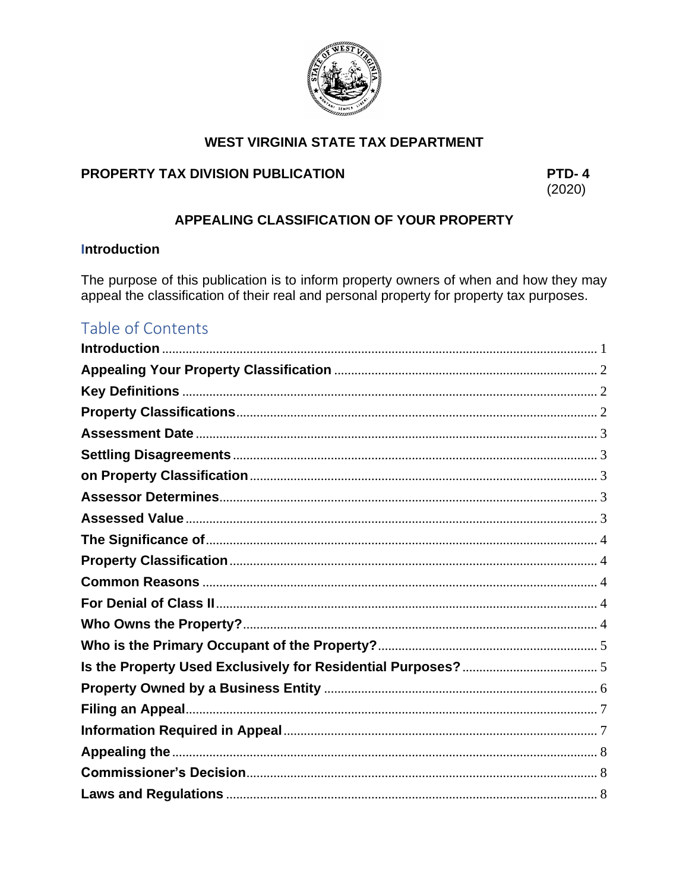

# **WEST VIRGINIA STATE TAX DEPARTMENT**

# PROPERTY TAX DIVISION PUBLICATION

PTD-4  $(2020)$ 

# APPEALING CLASSIFICATION OF YOUR PROPERTY

# <span id="page-0-0"></span>**Introduction**

The purpose of this publication is to inform property owners of when and how they may appeal the classification of their real and personal property for property tax purposes.

# Table of Contents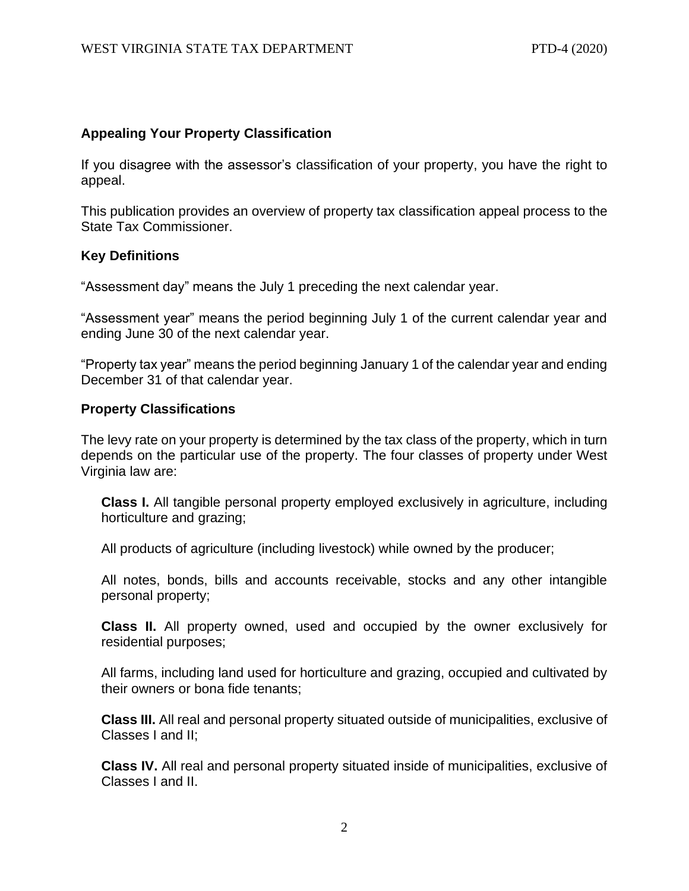# <span id="page-1-0"></span>**Appealing Your Property Classification**

If you disagree with the assessor's classification of your property, you have the right to appeal.

This publication provides an overview of property tax classification appeal process to the State Tax Commissioner.

# <span id="page-1-1"></span>**Key Definitions**

"Assessment day" means the July 1 preceding the next calendar year.

"Assessment year" means the period beginning July 1 of the current calendar year and ending June 30 of the next calendar year.

"Property tax year" means the period beginning January 1 of the calendar year and ending December 31 of that calendar year.

### <span id="page-1-2"></span>**Property Classifications**

The levy rate on your property is determined by the tax class of the property, which in turn depends on the particular use of the property. The four classes of property under West Virginia law are:

**Class I.** All tangible personal property employed exclusively in agriculture, including horticulture and grazing;

All products of agriculture (including livestock) while owned by the producer;

All notes, bonds, bills and accounts receivable, stocks and any other intangible personal property;

**Class II.** All property owned, used and occupied by the owner exclusively for residential purposes;

All farms, including land used for horticulture and grazing, occupied and cultivated by their owners or bona fide tenants;

**Class III.** All real and personal property situated outside of municipalities, exclusive of Classes I and II;

**Class IV.** All real and personal property situated inside of municipalities, exclusive of Classes I and II.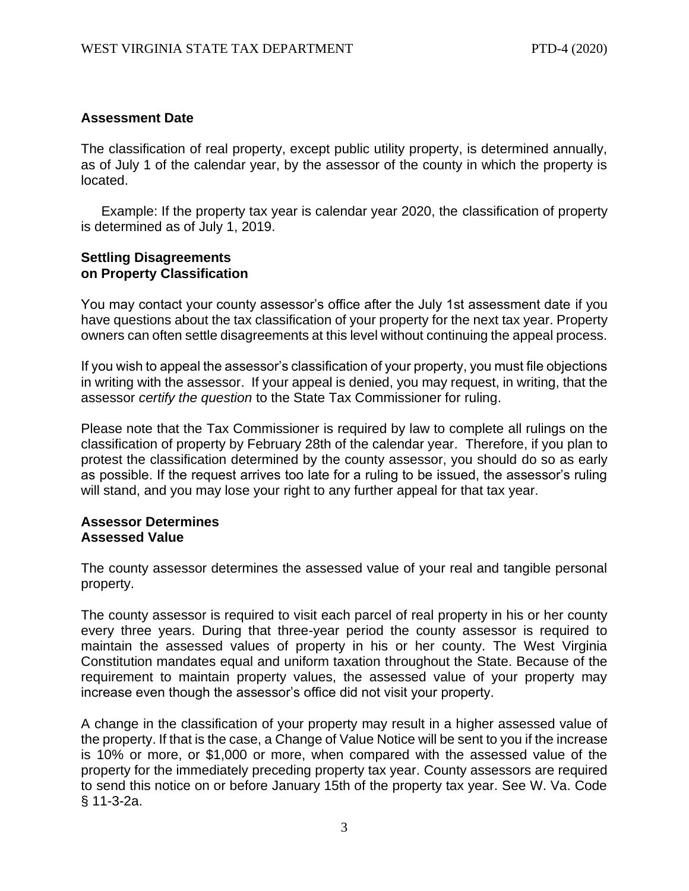### <span id="page-2-0"></span>**Assessment Date**

The classification of real property, except public utility property, is determined annually, as of July 1 of the calendar year, by the assessor of the county in which the property is located.

Example: If the property tax year is calendar year 2020, the classification of property is determined as of July 1, 2019.

### <span id="page-2-2"></span><span id="page-2-1"></span>**Settling Disagreements on Property Classification**

You may contact your county assessor's office after the July 1st assessment date if you have questions about the tax classification of your property for the next tax year. Property owners can often settle disagreements at this level without continuing the appeal process.

If you wish to appeal the assessor's classification of your property, you must file objections in writing with the assessor. If your appeal is denied, you may request, in writing, that the assessor *certify the question* to the State Tax Commissioner for ruling.

Please note that the Tax Commissioner is required by law to complete all rulings on the classification of property by February 28th of the calendar year. Therefore, if you plan to protest the classification determined by the county assessor, you should do so as early as possible. If the request arrives too late for a ruling to be issued, the assessor's ruling will stand, and you may lose your right to any further appeal for that tax year.

#### <span id="page-2-4"></span><span id="page-2-3"></span>**Assessor Determines Assessed Value**

The county assessor determines the assessed value of your real and tangible personal property.

The county assessor is required to visit each parcel of real property in his or her county every three years. During that three-year period the county assessor is required to maintain the assessed values of property in his or her county. The West Virginia Constitution mandates equal and uniform taxation throughout the State. Because of the requirement to maintain property values, the assessed value of your property may increase even though the assessor's office did not visit your property.

A change in the classification of your property may result in a higher assessed value of the property. If that is the case, a Change of Value Notice will be sent to you if the increase is 10% or more, or \$1,000 or more, when compared with the assessed value of the property for the immediately preceding property tax year. County assessors are required to send this notice on or before January 15th of the property tax year. See W. Va. Code § 11-3-2a.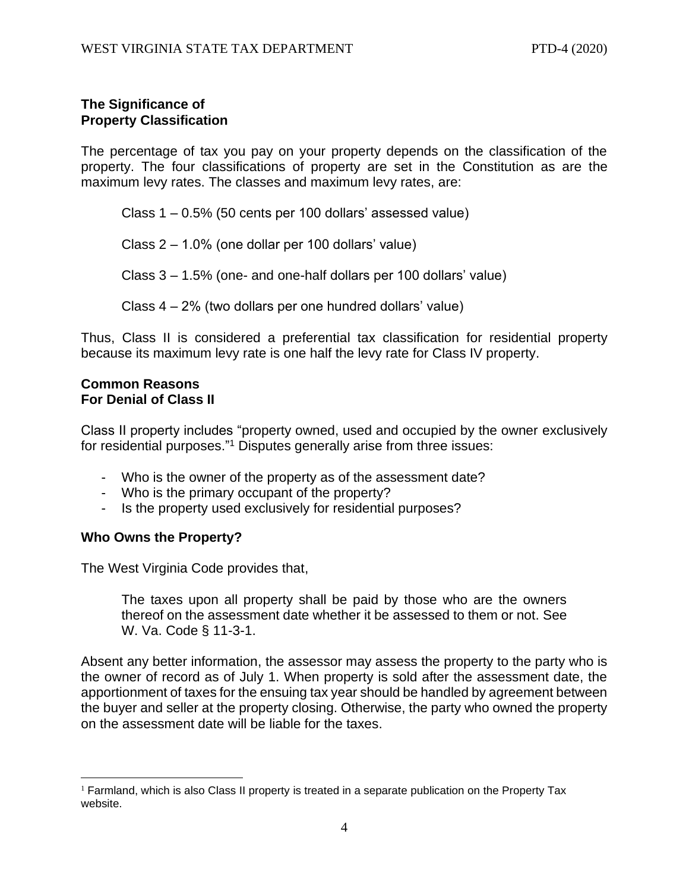# <span id="page-3-1"></span><span id="page-3-0"></span>**The Significance of Property Classification**

The percentage of tax you pay on your property depends on the classification of the property. The four classifications of property are set in the Constitution as are the maximum levy rates. The classes and maximum levy rates, are:

Class 1 – 0.5% (50 cents per 100 dollars' assessed value)

Class 2 – 1.0% (one dollar per 100 dollars' value)

Class 3 – 1.5% (one- and one-half dollars per 100 dollars' value)

Class 4 – 2% (two dollars per one hundred dollars' value)

Thus, Class II is considered a preferential tax classification for residential property because its maximum levy rate is one half the levy rate for Class IV property.

#### <span id="page-3-3"></span><span id="page-3-2"></span>**Common Reasons For Denial of Class II**

Class II property includes "property owned, used and occupied by the owner exclusively for residential purposes."<sup>1</sup> Disputes generally arise from three issues:

- Who is the owner of the property as of the assessment date?
- Who is the primary occupant of the property?
- Is the property used exclusively for residential purposes?

# <span id="page-3-4"></span>**Who Owns the Property?**

The West Virginia Code provides that,

The taxes upon all property shall be paid by those who are the owners thereof on the assessment date whether it be assessed to them or not. See W. Va. Code § 11-3-1.

Absent any better information, the assessor may assess the property to the party who is the owner of record as of July 1. When property is sold after the assessment date, the apportionment of taxes for the ensuing tax year should be handled by agreement between the buyer and seller at the property closing. Otherwise, the party who owned the property on the assessment date will be liable for the taxes.

 $<sup>1</sup>$  Farmland, which is also Class II property is treated in a separate publication on the Property Tax</sup> website.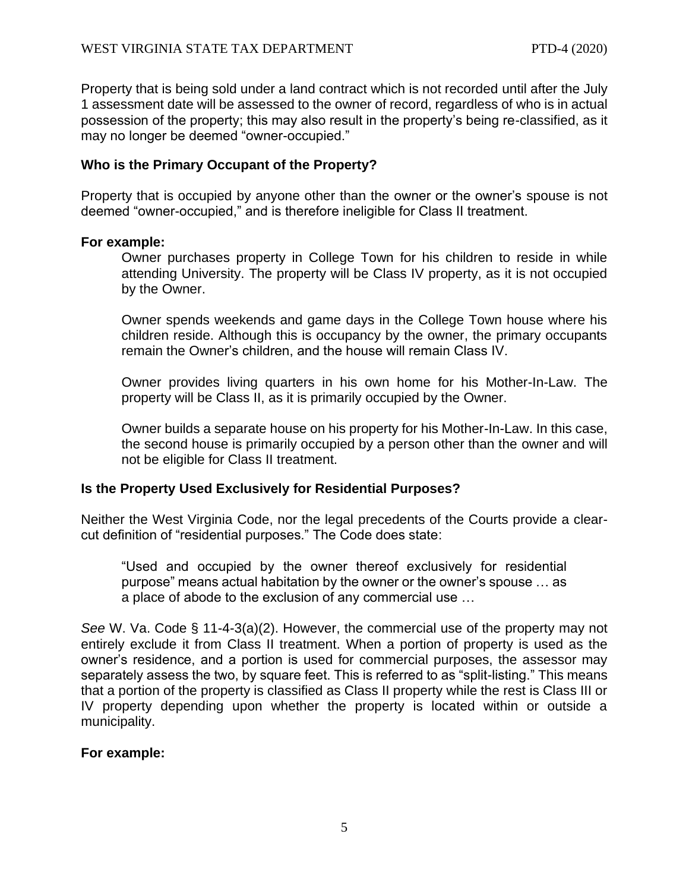Property that is being sold under a land contract which is not recorded until after the July 1 assessment date will be assessed to the owner of record, regardless of who is in actual possession of the property; this may also result in the property's being re-classified, as it may no longer be deemed "owner-occupied."

# <span id="page-4-0"></span>**Who is the Primary Occupant of the Property?**

Property that is occupied by anyone other than the owner or the owner's spouse is not deemed "owner-occupied," and is therefore ineligible for Class II treatment.

#### **For example:**

Owner purchases property in College Town for his children to reside in while attending University. The property will be Class IV property, as it is not occupied by the Owner.

Owner spends weekends and game days in the College Town house where his children reside. Although this is occupancy by the owner, the primary occupants remain the Owner's children, and the house will remain Class IV.

Owner provides living quarters in his own home for his Mother-In-Law. The property will be Class II, as it is primarily occupied by the Owner.

Owner builds a separate house on his property for his Mother-In-Law. In this case, the second house is primarily occupied by a person other than the owner and will not be eligible for Class II treatment.

#### <span id="page-4-1"></span>**Is the Property Used Exclusively for Residential Purposes?**

Neither the West Virginia Code, nor the legal precedents of the Courts provide a clearcut definition of "residential purposes." The Code does state:

"Used and occupied by the owner thereof exclusively for residential purpose" means actual habitation by the owner or the owner's spouse … as a place of abode to the exclusion of any commercial use …

*See* W. Va. Code § 11-4-3(a)(2). However, the commercial use of the property may not entirely exclude it from Class II treatment. When a portion of property is used as the owner's residence, and a portion is used for commercial purposes, the assessor may separately assess the two, by square feet. This is referred to as "split-listing." This means that a portion of the property is classified as Class II property while the rest is Class III or IV property depending upon whether the property is located within or outside a municipality.

#### **For example:**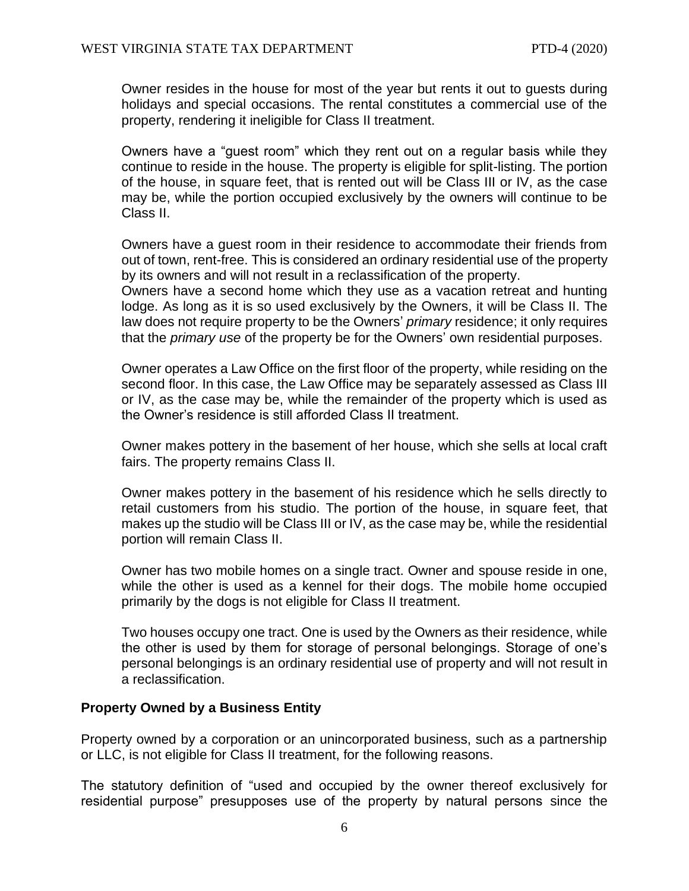Owner resides in the house for most of the year but rents it out to guests during holidays and special occasions. The rental constitutes a commercial use of the property, rendering it ineligible for Class II treatment.

Owners have a "guest room" which they rent out on a regular basis while they continue to reside in the house. The property is eligible for split-listing. The portion of the house, in square feet, that is rented out will be Class III or IV, as the case may be, while the portion occupied exclusively by the owners will continue to be Class II.

Owners have a guest room in their residence to accommodate their friends from out of town, rent-free. This is considered an ordinary residential use of the property by its owners and will not result in a reclassification of the property.

Owners have a second home which they use as a vacation retreat and hunting lodge. As long as it is so used exclusively by the Owners, it will be Class II. The law does not require property to be the Owners' *primary* residence; it only requires that the *primary use* of the property be for the Owners' own residential purposes.

Owner operates a Law Office on the first floor of the property, while residing on the second floor. In this case, the Law Office may be separately assessed as Class III or IV, as the case may be, while the remainder of the property which is used as the Owner's residence is still afforded Class II treatment.

Owner makes pottery in the basement of her house, which she sells at local craft fairs. The property remains Class II.

Owner makes pottery in the basement of his residence which he sells directly to retail customers from his studio. The portion of the house, in square feet, that makes up the studio will be Class III or IV, as the case may be, while the residential portion will remain Class II.

Owner has two mobile homes on a single tract. Owner and spouse reside in one, while the other is used as a kennel for their dogs. The mobile home occupied primarily by the dogs is not eligible for Class II treatment.

Two houses occupy one tract. One is used by the Owners as their residence, while the other is used by them for storage of personal belongings. Storage of one's personal belongings is an ordinary residential use of property and will not result in a reclassification.

# <span id="page-5-0"></span>**Property Owned by a Business Entity**

Property owned by a corporation or an unincorporated business, such as a partnership or LLC, is not eligible for Class II treatment, for the following reasons.

The statutory definition of "used and occupied by the owner thereof exclusively for residential purpose" presupposes use of the property by natural persons since the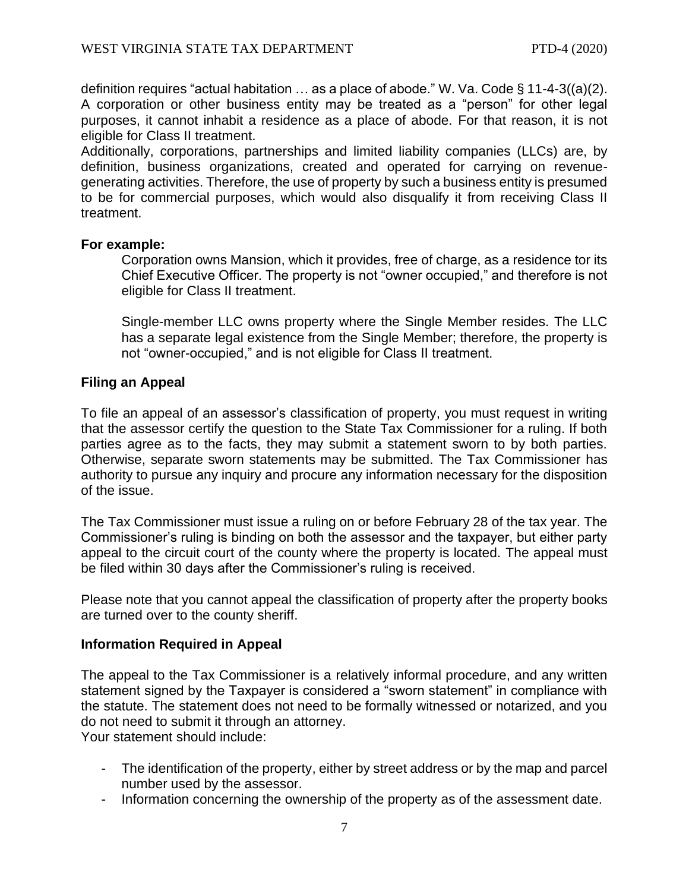definition requires "actual habitation  $\ldots$  as a place of abode." W. Va. Code § 11-4-3((a)(2). A corporation or other business entity may be treated as a "person" for other legal purposes, it cannot inhabit a residence as a place of abode. For that reason, it is not eligible for Class II treatment.

Additionally, corporations, partnerships and limited liability companies (LLCs) are, by definition, business organizations, created and operated for carrying on revenuegenerating activities. Therefore, the use of property by such a business entity is presumed to be for commercial purposes, which would also disqualify it from receiving Class II treatment.

### **For example:**

Corporation owns Mansion, which it provides, free of charge, as a residence tor its Chief Executive Officer. The property is not "owner occupied," and therefore is not eligible for Class II treatment.

Single-member LLC owns property where the Single Member resides. The LLC has a separate legal existence from the Single Member; therefore, the property is not "owner-occupied," and is not eligible for Class II treatment.

# <span id="page-6-0"></span>**Filing an Appeal**

To file an appeal of an assessor's classification of property, you must request in writing that the assessor certify the question to the State Tax Commissioner for a ruling. If both parties agree as to the facts, they may submit a statement sworn to by both parties. Otherwise, separate sworn statements may be submitted. The Tax Commissioner has authority to pursue any inquiry and procure any information necessary for the disposition of the issue.

The Tax Commissioner must issue a ruling on or before February 28 of the tax year. The Commissioner's ruling is binding on both the assessor and the taxpayer, but either party appeal to the circuit court of the county where the property is located. The appeal must be filed within 30 days after the Commissioner's ruling is received.

Please note that you cannot appeal the classification of property after the property books are turned over to the county sheriff.

# <span id="page-6-1"></span>**Information Required in Appeal**

The appeal to the Tax Commissioner is a relatively informal procedure, and any written statement signed by the Taxpayer is considered a "sworn statement" in compliance with the statute. The statement does not need to be formally witnessed or notarized, and you do not need to submit it through an attorney. Your statement should include:

- The identification of the property, either by street address or by the map and parcel number used by the assessor.

- Information concerning the ownership of the property as of the assessment date.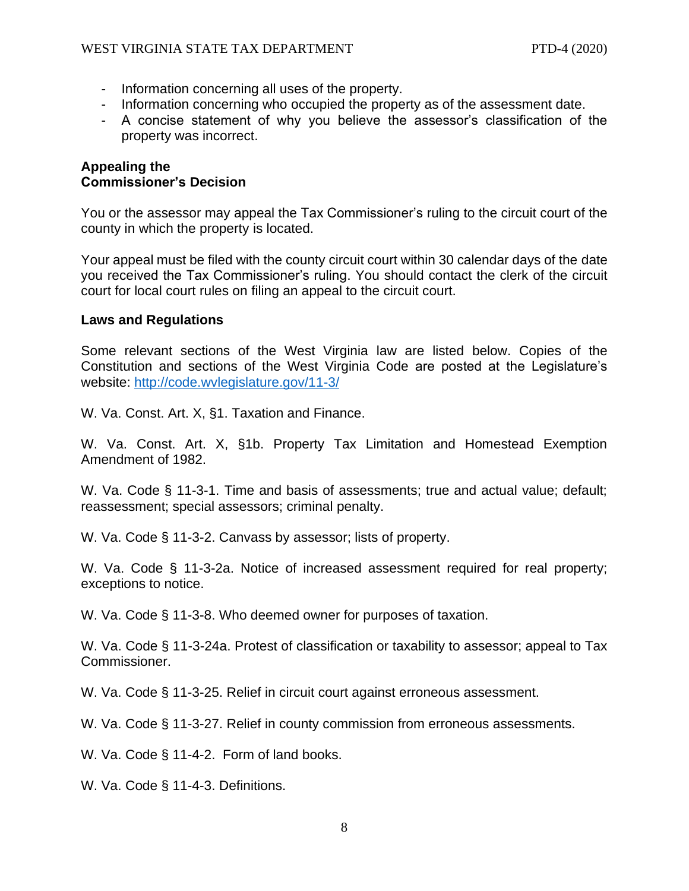- Information concerning all uses of the property.
- Information concerning who occupied the property as of the assessment date.
- A concise statement of why you believe the assessor's classification of the property was incorrect.

### <span id="page-7-1"></span><span id="page-7-0"></span>**Appealing the Commissioner's Decision**

You or the assessor may appeal the Tax Commissioner's ruling to the circuit court of the county in which the property is located.

Your appeal must be filed with the county circuit court within 30 calendar days of the date you received the Tax Commissioner's ruling. You should contact the clerk of the circuit court for local court rules on filing an appeal to the circuit court.

### <span id="page-7-2"></span>**Laws and Regulations**

Some relevant sections of the West Virginia law are listed below. Copies of the Constitution and sections of the West Virginia Code are posted at the Legislature's website:<http://code.wvlegislature.gov/11-3/>

W. Va. Const. Art. X, §1. Taxation and Finance.

W. Va. Const. Art. X, §1b. Property Tax Limitation and Homestead Exemption Amendment of 1982.

W. Va. Code § 11-3-1. Time and basis of assessments; true and actual value; default; reassessment; special assessors; criminal penalty.

W. Va. Code § 11-3-2. Canvass by assessor; lists of property.

W. Va. Code § 11-3-2a. Notice of increased assessment required for real property; exceptions to notice.

W. Va. Code § 11-3-8. Who deemed owner for purposes of taxation.

W. Va. Code § 11-3-24a. Protest of classification or taxability to assessor; appeal to Tax Commissioner.

W. Va. Code § 11-3-25. Relief in circuit court against erroneous assessment.

W. Va. Code § 11-3-27. Relief in county commission from erroneous assessments.

W. Va. Code § 11-4-2. Form of land books.

W. Va. Code § 11-4-3. Definitions.